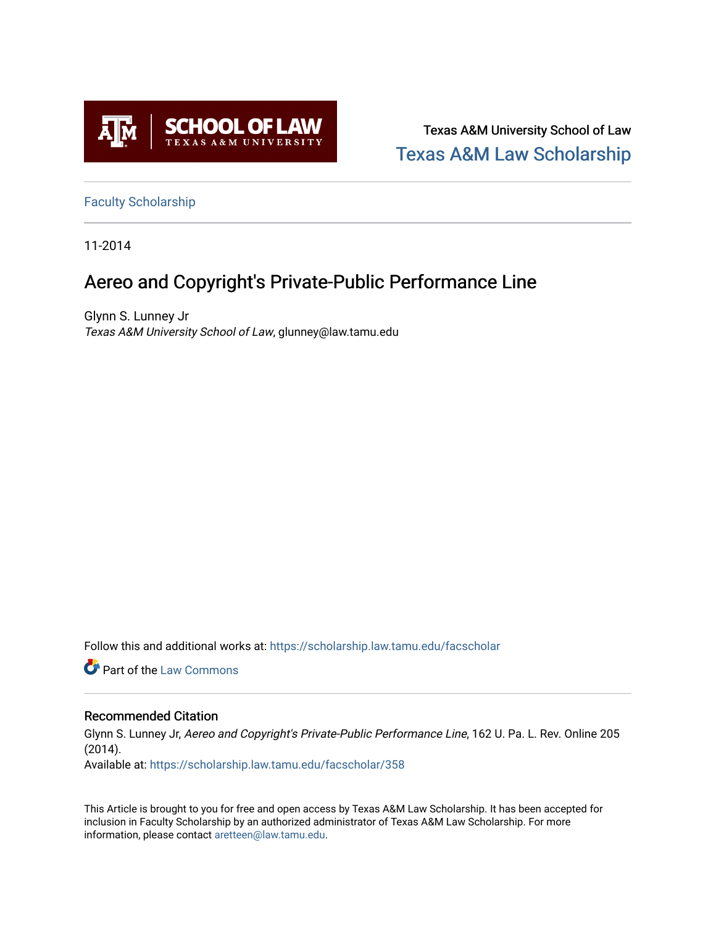

Texas A&M University School of Law [Texas A&M Law Scholarship](https://scholarship.law.tamu.edu/) 

[Faculty Scholarship](https://scholarship.law.tamu.edu/facscholar)

11-2014

# Aereo and Copyright's Private-Public Performance Line

Glynn S. Lunney Jr Texas A&M University School of Law, glunney@law.tamu.edu

Follow this and additional works at: [https://scholarship.law.tamu.edu/facscholar](https://scholarship.law.tamu.edu/facscholar?utm_source=scholarship.law.tamu.edu%2Ffacscholar%2F358&utm_medium=PDF&utm_campaign=PDFCoverPages) 

**C** Part of the [Law Commons](http://network.bepress.com/hgg/discipline/578?utm_source=scholarship.law.tamu.edu%2Ffacscholar%2F358&utm_medium=PDF&utm_campaign=PDFCoverPages)

## Recommended Citation

Glynn S. Lunney Jr, Aereo and Copyright's Private-Public Performance Line, 162 U. Pa. L. Rev. Online 205 (2014).

Available at: [https://scholarship.law.tamu.edu/facscholar/358](https://scholarship.law.tamu.edu/facscholar/358?utm_source=scholarship.law.tamu.edu%2Ffacscholar%2F358&utm_medium=PDF&utm_campaign=PDFCoverPages)

This Article is brought to you for free and open access by Texas A&M Law Scholarship. It has been accepted for inclusion in Faculty Scholarship by an authorized administrator of Texas A&M Law Scholarship. For more information, please contact [aretteen@law.tamu.edu](mailto:aretteen@law.tamu.edu).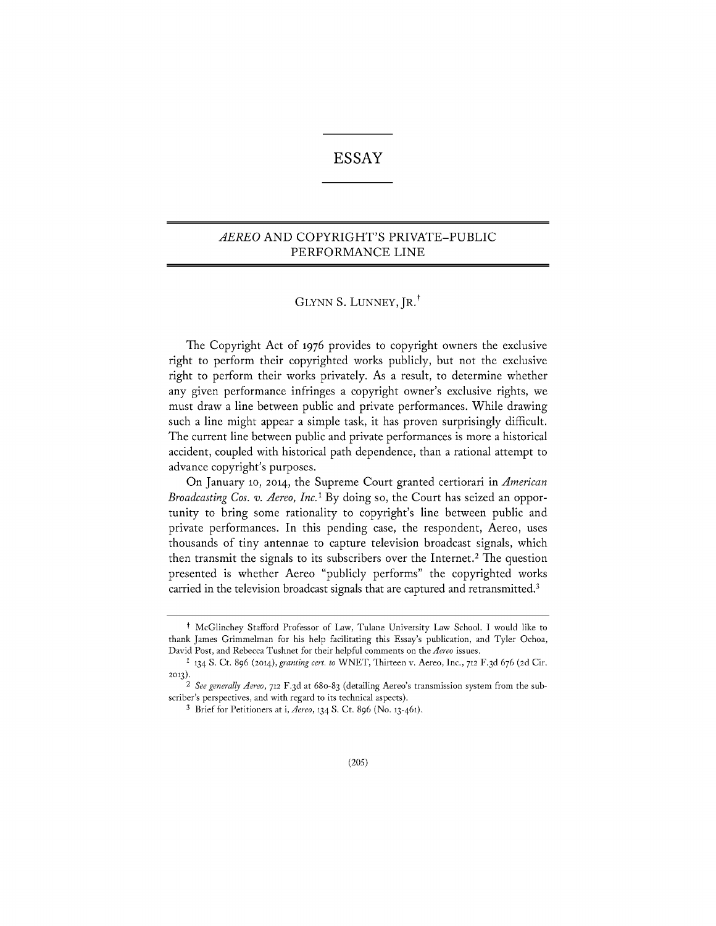# **ESSAY**

## *AEREO* **AND** COPYRIGHT'S PRIVATE-PUBLIC PERFORMANCE **LINE**

## **GLYNN S. LUNNEY,** JR.'

The Copyright Act **of 1976** provides to copyright owners the exclusive right to perform their copyrighted works publicly, but not the exclusive right to perform their works privately. As a result, to determine whether any given performance infringes a copyright owner's exclusive rights, we must draw a line between public and private performances. While drawing such a line might appear a simple task, it has proven surprisingly difficult. The current line between public and private performances is more a historical accident, coupled with historical path dependence, than a rational attempt to advance copyright's purposes.

On January **10,** 2014, the Supreme Court granted certiorari in *American Broadcasting Cos. v. Aereo, Inc.'* **By** doing so, the Court has seized an opportunity to bring some rationality to copyright's line between public and private performances. In this pending case, the respondent, Aereo, uses thousands of tiny antennae to capture television broadcast signals, which then transmit the signals to its subscribers over the Internet. 2 The question presented is whether Aereo "publicly performs" the copyrighted works carried in the television broadcast signals that are captured and retransmitted.'

t McGlinchey Stafford Professor of Law, Tulane University Law School. **I** would like to thank James Grimmelman for his help facilitating this Essay's publication, and Tyler Ochoa, David Post, and Rebecca Tushnet for their helpful comments on the *Aereo* issues.

**<sup>1</sup>134 S.** Ct. **896 (2014),** *granting cert. to* WNET, Thirteen v. Aereo, Inc., **712 F.3 d 676 (2d** Cir. **2013).**

*<sup>2</sup> See generally Aereo,* **712 F.3d** at 68o-83 (detailing Aereo's transmission system from the subscriber's perspectives, and with regard to its technical aspects).

**<sup>3</sup>** Brief for Petitioners at i, *Aereo,* 134 **S.** Ct. **896** (No. 13-461).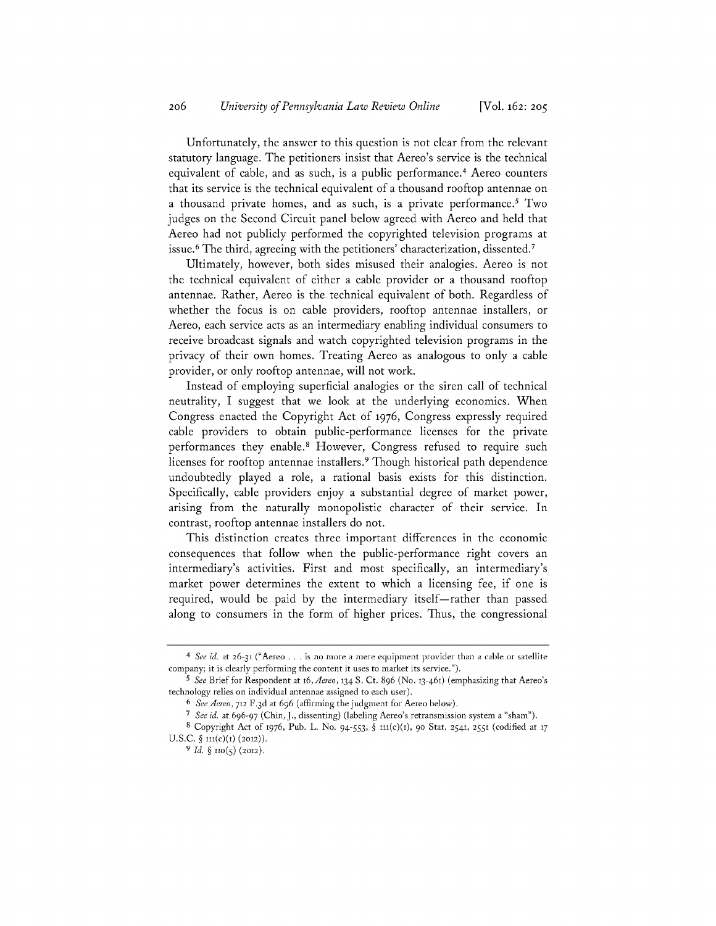Unfortunately, the answer to this question is not clear from the relevant statutory language. The petitioners insist that Aereo's service is the technical equivalent of cable, and as such, is a public performance.4 Aereo counters that its service is the technical equivalent of a thousand rooftop antennae on a thousand private homes, and as such, is a private performance.<sup>5</sup> Two judges on the Second Circuit panel below agreed with Aereo and held that Aereo had not publicly performed the copyrighted television programs at issue.6 The third, agreeing with the petitioners' characterization, dissented.'

Ultimately, however, both sides misused their analogies. Aereo is not the technical equivalent of either a cable provider or a thousand rooftop antennae. Rather, Aereo is the technical equivalent of both. Regardless of whether the focus is on cable providers, rooftop antennae installers, or Aereo, each service acts as an intermediary enabling individual consumers to receive broadcast signals and watch copyrighted television programs in the privacy of their own homes. Treating Aereo as analogous to only a cable provider, or only rooftop antennae, will not work.

Instead of employing superficial analogies or the siren call of technical neutrality, **I** suggest that we look at the underlying economics. When Congress enacted the Copyright Act **of 1976,** Congress expressly required cable providers to obtain public-performance licenses for the private performances they enable.<sup>8</sup> However, Congress refused to require such licenses for rooftop antennae installers. 9 Though historical path dependence undoubtedly played a role, a rational basis exists for this distinction. Specifically, cable providers enjoy a substantial degree of market power, arising from the naturally monopolistic character of their service. In contrast, rooftop antennae installers do not.

This distinction creates three important differences in the economic consequences that follow when the public-performance right covers an intermediary's activities. First and most specifically, an intermediary's market power determines the extent to which a licensing fee, if one is required, would be paid by the intermediary itself—rather than passed along to consumers in the form of higher prices. Thus, the congressional

*<sup>4</sup> See id. at* **26-31 ("Aereo ... is no more a mere equipment provider than a cable or satellite company; it is clearly performing the content it uses to market its service.").**

*<sup>5</sup>See* **Brief for Respondent at t6,** *Aereo,* **134 S. Ct. 896 (No. 13-461) (emphasizing that Aereo's technology relies on individual antennae assigned to each user).**

*<sup>6</sup>See Aereo,* **712 F.3 d at 696 (affirming the judgment for Aereo below).**

*<sup>7</sup>See id.* **at 696-97 (Chin, J., dissenting) (labeling Aereo's retransmission system a "sham").**

**<sup>8</sup> Copyright Act of 1976, Pub. L. No.** *94-553, §* **tit(c)(t), 90 Stat. 2541, 2551 (codified at <sup>17</sup> U.S.C.** *§ i1(c)(1)* **(2012)).**

**<sup>9</sup>** *Id. §* **110(5) (2012).**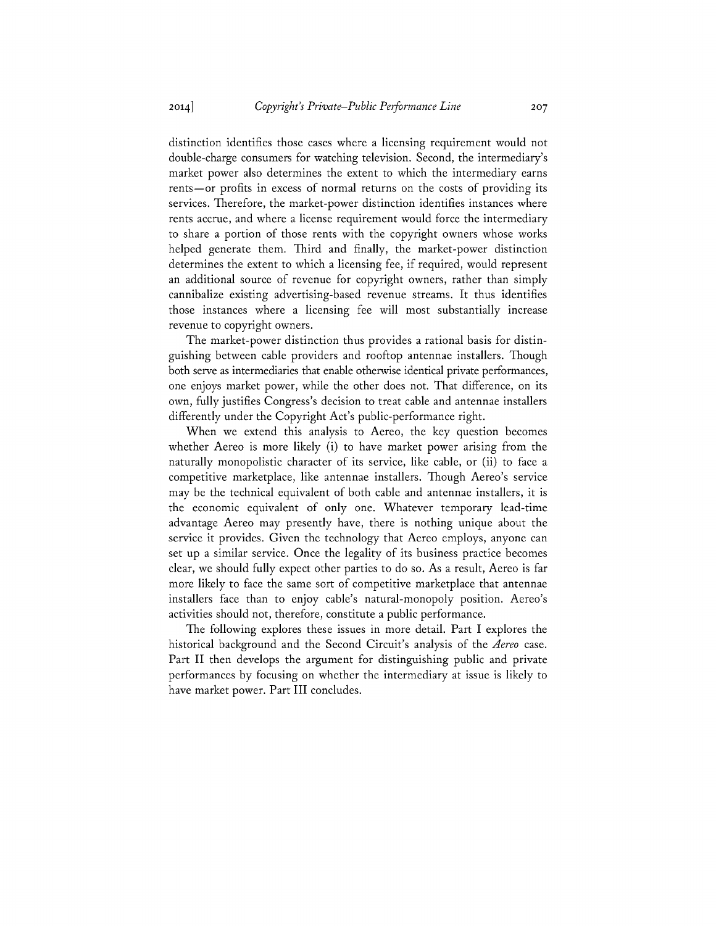distinction identifies those cases where a licensing requirement would not double-charge consumers for watching television. Second, the intermediary's market power also determines the extent to which the intermediary earns rents—or profits in excess of normal returns on the costs of providing its services. Therefore, the market-power distinction identifies instances where rents accrue, and where a license requirement would force the intermediary to share a portion of those rents with the copyright owners whose works helped generate them. Third and finally, the market-power distinction determines the extent to which a licensing fee, if required, would represent an additional source of revenue for copyright owners, rather than simply cannibalize existing advertising-based revenue streams. It thus identifies those instances where a licensing fee will most substantially increase revenue to copyright owners.

The market-power distinction thus provides a rational basis for distinguishing between cable providers and rooftop antennae installers. Though both serve as intermediaries that enable otherwise identical private performances, one enjoys market power, while the other does not. That difference, on its own, fully justifies Congress's decision to treat cable and antennae installers differently under the Copyright Act's public-performance right.

When we extend this analysis to Aereo, the key question becomes whether Aereo is more likely (i) to have market power arising from the naturally monopolistic character of its service, like cable, or (ii) to face a competitive marketplace, like antennae installers. Though Aereo's service may be the technical equivalent of both cable and antennae installers, it is the economic equivalent of only one. Whatever temporary lead-time advantage Aereo may presently have, there is nothing unique about the service it provides. Given the technology that Aereo employs, anyone can set up a similar service. Once the legality of its business practice becomes clear, we should fully expect other parties to do so. As a result, Aereo is far more likely to face the same sort of competitive marketplace that antennae installers face than to enjoy cable's natural-monopoly position. Aereo's activities should not, therefore, constitute a public performance.

The following explores these issues in more detail. Part **I** explores the historical background and the Second Circuit's analysis of the *Aereo* case. Part II then develops the argument for distinguishing public and private performances **by** focusing on whether the intermediary at issue is likely to have market power. Part **III** concludes.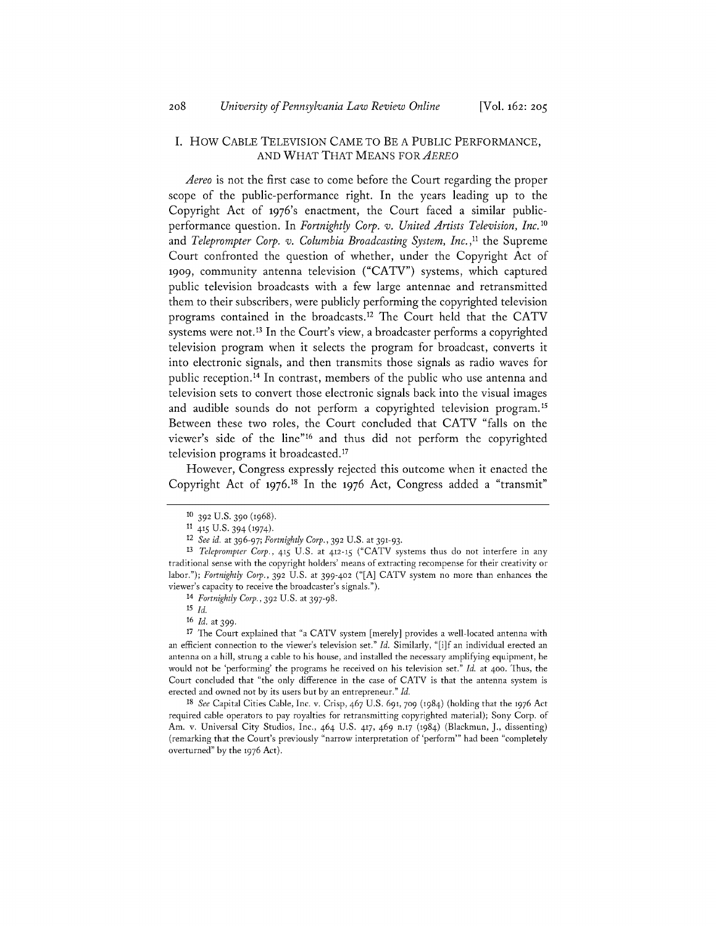### **I.** How **CABLE** TELEVISION **CAME** TO BE **A** PUBLIC PERFORMANCE, **AND** WHAT THAT **MEANS** FOR *AEREO*

*Aereo* is not the first case to come before the Court regarding the proper scope of the public-performance right. In the years leading up to the Copyright Act **of** 1976's enactment, the Court faced a similar publicperformance question. In *Fortnightly Corp. v. United Artists Television, Inc.10 and Teleprompter Corp. v. Columbia Broadcasting System, Inc.,"* the Supreme Court confronted the question of whether, under the Copyright Act of 1909, community antenna television **("CATV")** systems, which captured public television broadcasts with a few large antennae and retransmitted them to their subscribers, were publicly performing the copyrighted television programs contained in the broadcasts. 12 The Court held that the **CATV** systems were not.<sup>13</sup> In the Court's view, a broadcaster performs a copyrighted television program when it selects the program for broadcast, converts it into electronic signals, and then transmits those signals as radio waves for public reception. 14 In contrast, members of the public who use antenna and television sets to convert those electronic signals back into the visual images and audible sounds do not perform a copyrighted television program.<sup>15</sup> Between these two roles, the Court concluded that **CATV** "falls on the viewer's side of the line"16 and thus did not perform the copyrighted television programs it broadcasted."

However, Congress expressly rejected this outcome when it enacted the Copyright Act **of 1976.18** In the **1976** Act, Congress added a "transmit"

*<sup>18</sup>See* Capital Cities Cable, Inc. v. Crisp, 467 **U.S. 691, 709** (1984) (holding that the **1976** Act required cable operators to pay royalties for retransmitting copyrighted material); Sony Corp. of Am. v. Universal City Studios, Inc., 464 U.S. 417, 469 n.17 (1984) (Blackmun, **J.,** dissenting) (remarking that the Court's previously "narrow interpretation of 'perform"' had been "completely overturned" **by** the **1976** Act).

**<sup>10 392</sup> U.S. 390 (1968).**

**<sup>11</sup>**415 **U.S.** 394 (1974).

*<sup>12</sup> See id. at 396-97; Fortnightly Corp.,* **392 U.S.** at **391-93.**

*<sup>13</sup>Teleprompter Corp.,* 415 **U.S.** at 412-15 **("CATV** systems thus do not interfere in any traditional sense with the copyright holders' means of extracting recompense for their creativity or *labor."); Fortnightly Corp.,* **392 U.S.** at 399-402 **("[A] CATV** system no more than enhances the viewer's capacity to receive the broadcaster's signals.").

*<sup>14</sup> Fortnightly Corp.,* **392 U.S.** at **397-98.**

*<sup>15</sup> Id.*

*<sup>16</sup>Id.* at **399.**

**<sup>17</sup>**The Court explained that "a **CATV** system [merely] provides a well-located antenna with an efficient connection to the viewer's television set." *Id.* Similarly, "[i]f an individual erected an antenna on a hill, strung a cable to his house, and installed the necessary amplifying equipment, he would not be 'performing' the programs he received on his television set." *Id.* at 400. Thus, the Court concluded that "the only difference in the case of **CATV** is that the antenna system is erected and owned not **by** its users but **by** an entrepreneur." *Id.*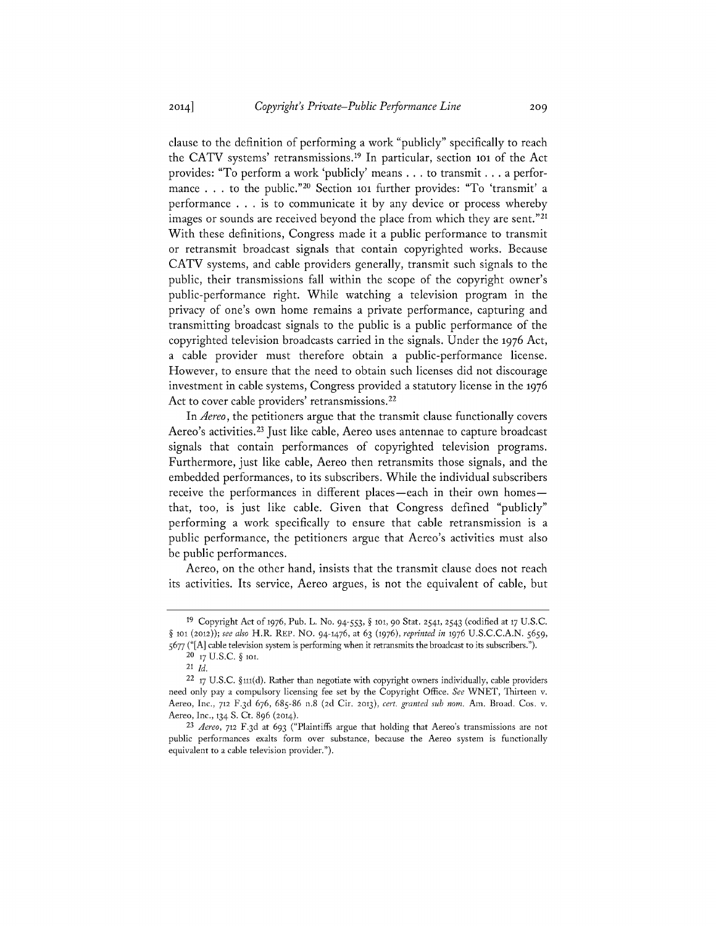clause to the definition of performing a work "publicly" specifically to reach the CATV systems' retransmissions.<sup>19</sup> In particular, section 101 of the Act provides: "To perform a work 'publicly' means **.** . **.** to transmit **.** . **.** a performance . . . to the public."<sup>20</sup> Section 101 further provides: "To 'transmit' a performance **. . .** is to communicate it **by** any device or process whereby images or sounds are received beyond the place from which they are sent."<sup>21</sup> With these definitions, Congress made it a public performance to transmit or retransmit broadcast signals that contain copyrighted works. Because **CATV** systems, and cable providers generally, transmit such signals to the public, their transmissions fall within the scope of the copyright owner's public-performance right. While watching a television program in the privacy of one's own home remains a private performance, capturing and transmitting broadcast signals to the public is a public performance of the copyrighted television broadcasts carried in the signals. Under the **1976** Act, a cable provider must therefore obtain a public-performance license. However, to ensure that the need to obtain such licenses did not discourage investment in cable systems, Congress provided a statutory license in the **1976** Act to cover cable providers' retransmissions.<sup>22</sup>

*In Aereo,* the petitioners argue that the transmit clause functionally covers Aereo's activities. 23 Just like cable, Aereo uses antennae to capture broadcast signals that contain performances of copyrighted television programs. Furthermore, just like cable, Aereo then retransmits those signals, and the embedded performances, to its subscribers. While the individual subscribers receive the performances in different places-each in their own homesthat, too, is just like cable. Given that Congress defined "publicly" performing a work specifically to ensure that cable retransmission is a public performance, the petitioners argue that Aereo's activities must also be public performances.

Aereo, on the other hand, insists that the transmit clause does not reach its activities. Its service, Aereo argues, is not the equivalent of cable, but

**<sup>19</sup>**Copyright Act **of 1976,** Pub. L. No. *94-553, §* tot, **90** Stat. **2541, 2543** (codified at **17 U.S.C.** *§* **to** *(2012)); see also* H.R. REP. **No. 94-1476,** *at* **63 (1976),** *reprinted in* **1976 U.S.C.C.A.N.** *5659, 5677* **("[A]** cable television system is performing when it retransmits the broadcast to its subscribers.").

**<sup>20 17</sup> U.S.C.** *§* **tot.**

<sup>21</sup> *Id.*

<sup>22</sup>**17 U.S.C. §it(d).** Rather than negotiate with copyright owners individually, cable providers need only pay a compulsory licensing fee set **by** the Copyright Office. *See* WNET, Thirteen v. Aereo, Inc., **712 F.3 d 676, 685-86** n.8 **(2d** Cir. **2013),** *cert. granted sub nom.* Am. Broad. Cos. v. Aereo, Inc., **134 S.** Ct. **896 (2014).**

*<sup>23</sup>Aereo,* **712 F.3 d** at **693** ("Plaintiffs argue that holding that Aereo's transmissions are not public performances exalts form over substance, because the Aereo system is functionally equivalent to a cable television provider.").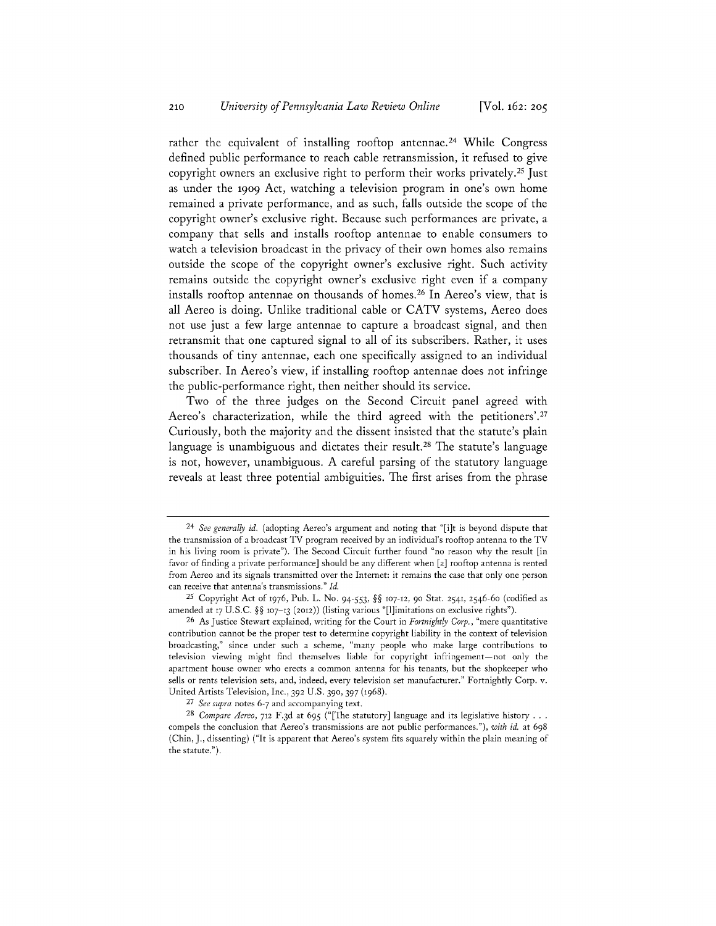rather the equivalent of installing rooftop antennae.<sup>24</sup> While Congress defined public performance to reach cable retransmission, it refused to give copyright owners an exclusive right to perform their works privately.25 Just as under the 1909 Act, watching a television program in one's own home remained a private performance, and as such, falls outside the scope of the copyright owner's exclusive right. Because such performances are private, a company that sells and installs rooftop antennae to enable consumers to watch a television broadcast in the privacy of their own homes also remains outside the scope of the copyright owner's exclusive right. Such activity remains outside the copyright owner's exclusive right even if a company installs rooftop antennae on thousands of homes. 26 In Aereo's view, that is all Aereo is doing. Unlike traditional cable or **CATV** systems, Aereo does not use just a few large antennae to capture a broadcast signal, and then retransmit that one captured signal to all of its subscribers. Rather, it uses thousands of tiny antennae, each one specifically assigned to an individual subscriber. In Aereo's view, if installing rooftop antennae does not infringe the public-performance right, then neither should its service.

Two of the three judges on the Second Circuit panel agreed with Aereo's characterization, while the third agreed with the petitioners'.<sup>27</sup> Curiously, both the majority and the dissent insisted that the statute's plain language is unambiguous and dictates their result.<sup>28</sup> The statute's language is not, however, unambiguous. **A** careful parsing of the statutory language reveals at least three potential ambiguities. The first arises from the phrase

*<sup>24</sup>See generally id.* (adopting Aereo's argument and noting that "[i]t is beyond dispute that the transmission of a broadcast TV program received **by** an individual's rooftop antenna to the TV in his living room is private"). The Second Circuit further found "no reason why the result [in favor of finding a private performance] should be any different when [a] rooftop antenna is rented from Aereo and its signals transmitted over the Internet: it remains the case that only one person can receive that antenna's transmissions." *Id.*

**<sup>25</sup>**Copyright Act **of 1976,** Pub. L. No. *94-553, H§* **107-12, 90** Stat. **2541,** 2546-6o (codified as amended at 17 U.S.C. §§ 107-13 (2012)) (listing various "[1]imitations on exclusive rights").

**<sup>26</sup>**As Justice Stewart explained, writing for the Court in *Fortnightly Corp.,* "mere quantitative contribution cannot be the proper test to determine copyright liability in the context of television broadcasting," since under such a scheme, "many people who make large contributions to television viewing might find themselves liable for copyright infringement- not only the apartment house owner who erects a common antenna for his tenants, but the shopkeeper who sells or rents television sets, and, indeed, every television set manufacturer." Fortnightly Corp. v. United Artists Television, Inc., **392** U.S. **390, 397 (1968).**

*<sup>27</sup>See supra* notes **6-7** and accompanying text.

*<sup>28</sup>Compare Aereo,* **712 F.3d** at **695** ("[The statutory] language and its legislative history **. . .** compels the conclusion that Aereo's transmissions are not public performances."), *with id.* at **698** (Chin, **J.,** dissenting) ("It is apparent that Aereo's system fits squarely within the plain meaning of the statute.").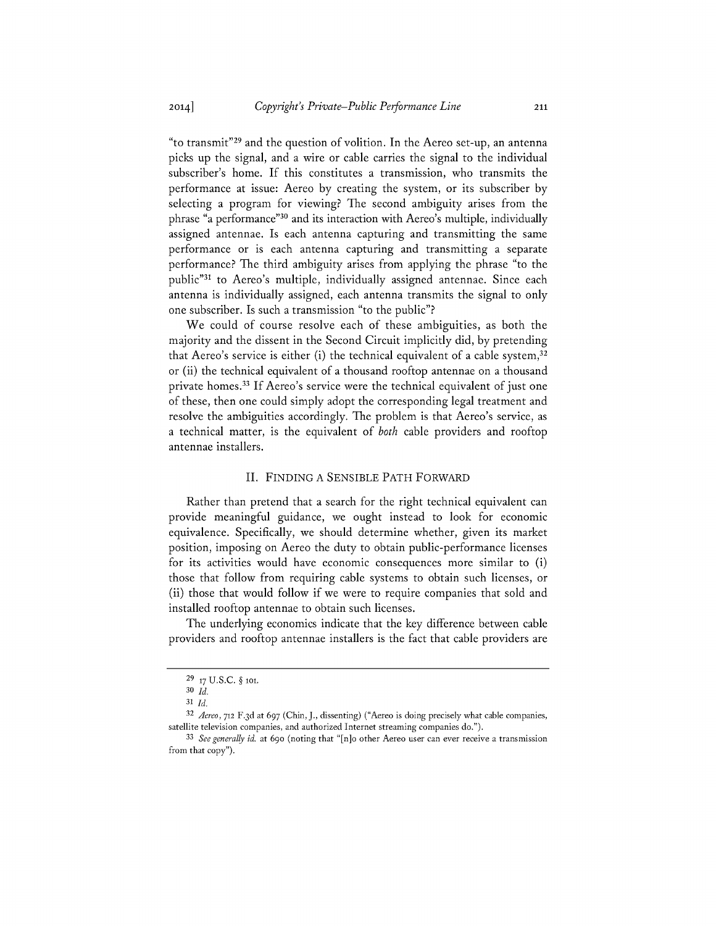"to transmit"29 and the question of volition. In the Aereo set-up, an antenna picks up the signal, and a wire or cable carries the signal to the individual subscriber's home. **If** this constitutes a transmission, who transmits the performance at issue: Aereo **by** creating the system, or its subscriber **by** selecting a program for viewing? The second ambiguity arises from the phrase "a performance"<sup>30</sup> and its interaction with Aereo's multiple, individually assigned antennae. Is each antenna capturing and transmitting the same performance or is each antenna capturing and transmitting a separate performance? The third ambiguity arises from applying the phrase "to the public"<sup>31</sup> to Aereo's multiple, individually assigned antennae. Since each antenna is individually assigned, each antenna transmits the signal to only one subscriber. Is such a transmission "to the public"?

We could of course resolve each of these ambiguities, as both the majority and the dissent in the Second Circuit implicitly did, **by** pretending that Aereo's service is either (i) the technical equivalent of a cable system, $32$ or (ii) the technical equivalent of a thousand rooftop antennae on a thousand private homes. **If** Aereo's service were the technical equivalent of just one of these, then one could simply adopt the corresponding legal treatment and resolve the ambiguities accordingly. The problem is that Aereo's service, as a technical matter, is the equivalent of *both* cable providers and rooftop antennae installers.

#### **II.** FINDING **A** SENSIBLE PATH FORWARD

Rather than pretend that a search for the right technical equivalent can provide meaningful guidance, we ought instead to look for economic equivalence. Specifically, we should determine whether, given its market position, imposing on Aereo the duty to obtain public-performance licenses for its activities would have economic consequences more similar to (i) those that follow from requiring cable systems to obtain such licenses, or (ii) those that would follow if we were to require companies that sold and installed rooftop antennae to obtain such licenses.

The underlying economics indicate that the key difference between cable providers and rooftop antennae installers is the fact that cable providers are

**<sup>29 17</sup> U.S.C.** *§* **tot.**

**<sup>30</sup>** *Id.*

**<sup>31</sup>***Id.*

*<sup>32</sup>Aereo,* **712 F.3d** *at 697* **(Chin, J., dissenting) ("Aereo is doing precisely what cable companies, satellite television companies, and authorized Internet streaming companies do.").**

*<sup>33</sup>See generally id.* **at 690 (noting that "[n]o other Aereo user can ever receive a transmission from that copy").**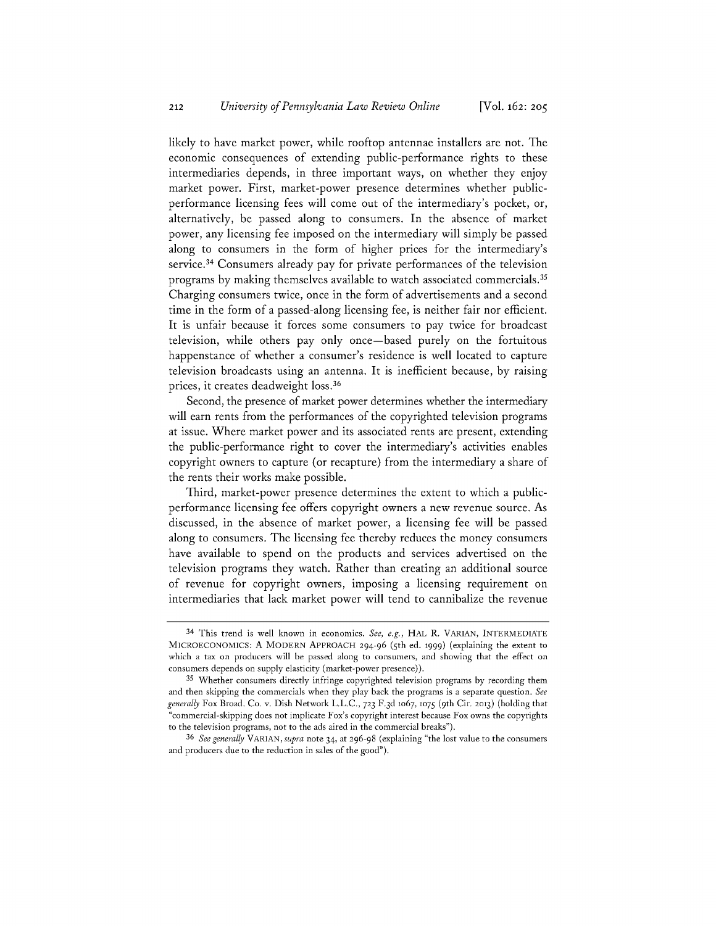likely to have market power, while rooftop antennae installers are not. The economic consequences of extending public-performance rights to these intermediaries depends, in three important ways, on whether they enjoy market power. First, market-power presence determines whether publicperformance licensing fees will come out of the intermediary's pocket, or, alternatively, be passed along to consumers. In the absence of market power, any licensing fee imposed on the intermediary will simply be passed along to consumers in the form of higher prices for the intermediary's service.<sup>34</sup> Consumers already pay for private performances of the television programs **by** making themselves available to watch associated commercials." Charging consumers twice, once in the form of advertisements and a second time in the form of a passed-along licensing fee, is neither fair nor efficient. It is unfair because it forces some consumers to pay twice for broadcast television, while others pay only once-based purely on the fortuitous happenstance of whether a consumer's residence is well located to capture television broadcasts using an antenna. It is inefficient because, **by** raising prices, it creates deadweight loss.<sup>36</sup>

Second, the presence of market power determines whether the intermediary will earn rents from the performances of the copyrighted television programs at issue. Where market power and its associated rents are present, extending the public-performance right to cover the intermediary's activities enables copyright owners to capture (or recapture) from the intermediary a share of the rents their works make possible.

Third, market-power presence determines the extent to which a publicperformance licensing fee offers copyright owners a new revenue source. As discussed, in the absence of market power, a licensing fee will be passed along to consumers. The licensing fee thereby reduces the money consumers have available to spend on the products and services advertised on the television programs they watch. Rather than creating an additional source of revenue for copyright owners, imposing a licensing requirement on intermediaries that lack market power will tend to cannibalize the revenue

*<sup>36</sup>See generally VARIAN, supra* **note 34, at 296-98 (explaining "the lost value to the consumers and producers due to the reduction in sales of the good").**

<sup>34</sup> **This trend is well known in economics.** *See, e.g.,* HAL R. VARIAN, INTERMEDIATE **MICROECONOMICS: A** MODERN APPROACH **294-96 ( 5th ed. t999) (explaining the extent to which a tax on producers will be passed along to consumers, and showing that the effect on consumers depends on supply elasticity (market-power presence)).**

**<sup>35</sup> Whether consumers directly infringe copyrighted television programs by recording them and then skipping the commercials when they play back the programs is a separate question.** *See generally* **Fox Broad. Co. v. Dish Network L.L.C., 723 F.3 d** to67, **1075 ( <sup>9</sup> th Cir. 2013) (holding that "commercial-skipping does not implicate Fox's copyright interest because Fox owns the copyrights to the television programs, not to the ads aired in the commercial breaks").**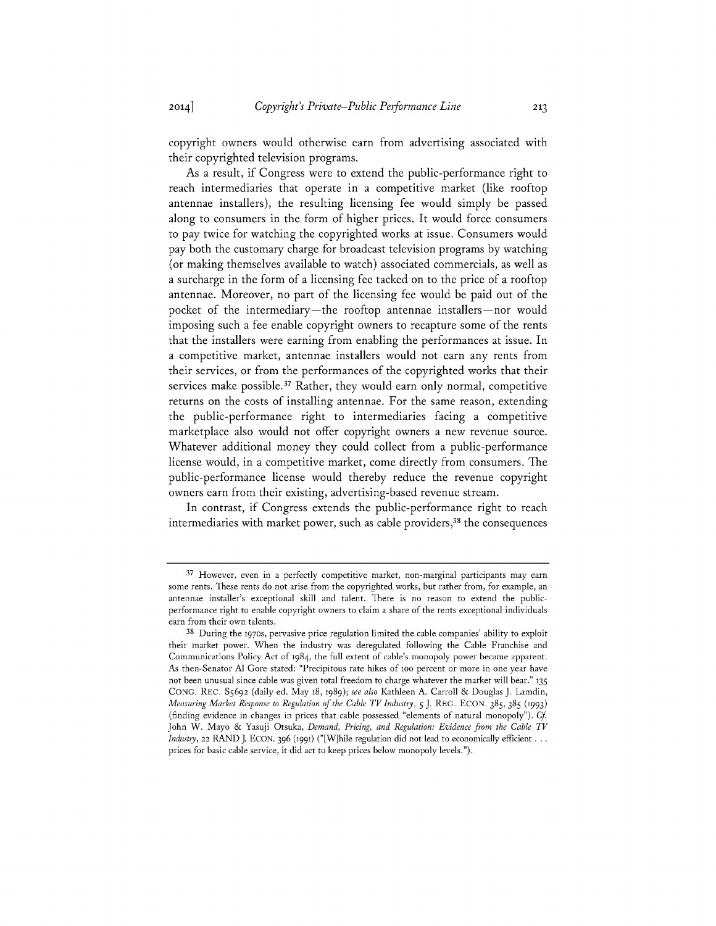copyright owners would otherwise earn from advertising associated with their copyrighted television programs.

As a result, if Congress were to extend the public-performance right to reach intermediaries that operate in a competitive market (like rooftop antennae installers), the resulting licensing fee would simply be passed along to consumers in the form of higher prices. It would force consumers to pay twice for watching the copyrighted works at issue. Consumers would pay both the customary charge for broadcast television programs **by** watching (or making themselves available to watch) associated commercials, as well as a surcharge in the form of a licensing fee tacked on to the price of a rooftop antennae. Moreover, no part of the licensing fee would be paid out of the pocket of the intermediary—the rooftop antennae installers—nor would imposing such a fee enable copyright owners to recapture some of the rents that the installers were earning from enabling the performances at issue. In a competitive market, antennae installers would not earn any rents from their services, or from the performances of the copyrighted works that their services make possible.<sup>37</sup> Rather, they would earn only normal, competitive returns on the costs of installing antennae. For the same reason, extending the public-performance right to intermediaries facing a competitive marketplace also would not offer copyright owners a new revenue source. Whatever additional money they could collect from a public-performance license would, in a competitive market, come directly from consumers. The public-performance license would thereby reduce the revenue copyright owners earn from their existing, advertising-based revenue stream.

In contrast, if Congress extends the public-performance right to reach intermediaries with market power, such as cable providers,<sup>38</sup> the consequences

**<sup>37</sup>**However, even in a perfectly competitive market, non-marginal participants may earn some rents. These rents do not arise from the copyrighted works, but rather from, for example, an antennae installer's exceptional skill and talent. There is no reason to extend the publicperformance right to enable copyright owners to claim a share of the rents exceptional individuals earn from their own talents.

**<sup>38</sup>**During the **1970s,** pervasive price regulation limited the cable companies' ability to exploit their market power. When the industry was deregulated following the Cable Franchise and Communications Policy Act of 1984, the full extent of cable's monopoly power became apparent. As then-Senator **Al** Gore stated: "Precipitous rate hikes of too percent or more in one year have not been unusual since cable was given total freedom to charge whatever the market will bear." **135 CONG.** REC. **S5692** (daily ed. May **18, 1989);** *see also* Kathleen **A.** Carroll **& Douglas J.** Lamdin, *Measuring Market Response to Regulation of the Cable TV Industry, 5* **J.** REG. **ECON.** *385, 385* **(1993)** (finding evidence in changes in prices that cable possessed "elements of natural monopoly"). *Cf* John W. Mayo **&** Yasuji Otsuka, *Demand, Pricing, and Regulation: Evidence from the Cable TV Industry, 22 RAND J. ECON. 396 (1991)* ("[W]hile regulation did not lead to economically efficient ... prices for basic cable service, it did act to keep prices below monopoly levels.").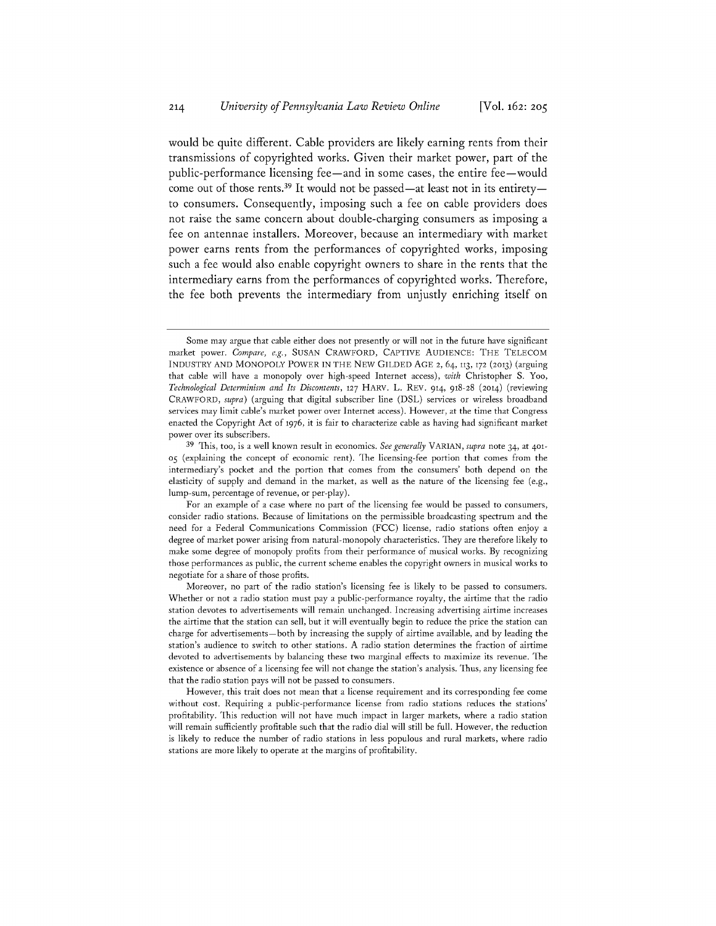would be quite different. Cable providers are likely earning rents from their transmissions of copyrighted works. Given their market power, part of the public-performance licensing fee-and in some cases, the entire fee-would come out of those rents.<sup>39</sup> It would not be passed—at least not in its entirety to consumers. Consequently, imposing such a fee on cable providers does not raise the same concern about double-charging consumers as imposing a fee on antennae installers. Moreover, because an intermediary with market power earns rents from the performances of copyrighted works, imposing such a fee would also enable copyright owners to share in the rents that the intermediary earns from the performances of copyrighted works. Therefore, the fee both prevents the intermediary from unjustly enriching itself on

For an example of a case where no part of the licensing fee would be passed to consumers, consider radio stations. Because of limitations on the permissible broadcasting spectrum and the need for a Federal Communications Commission **(FCC)** license, radio stations often enjoy a degree of market power arising from natural- monopoly characteristics. They are therefore likely to make some degree of monopoly profits from their performance of musical works. **By** recognizing those performances as public, the current scheme enables the copyright owners in musical works to negotiate for a share of those profits.

Moreover, no part of the radio station's licensing fee is likely to be passed to consumers. Whether or not a radio station must pay a public-performance royalty, the airtime that the radio station devotes to advertisements will remain unchanged. Increasing advertising airtime increases the airtime that the station can sell, but it will eventually begin to reduce the price the station can charge for advertisements -both **by** increasing the supply of airtime available, and **by** leading the station's audience to switch to other stations. **A** radio station determines the fraction of airtime devoted to advertisements **by** balancing these two marginal effects to maximize its revenue. The existence or absence of a licensing fee will not change the station's analysis. Thus, any licensing fee that the radio station pays will not be passed to consumers.

However, this trait does not mean that a license requirement and its corresponding fee come without cost. Requiring a public-performance license from radio stations reduces the stations' profitability. This reduction will not have much impact in larger markets, where a radio station will remain sufficiently profitable such that the radio dial will still be full. However, the reduction is likely to reduce the number of radio stations in less populous and rural markets, where radio stations are more likely to operate at the margins of profitability.

Some may argue that cable either does not presently or will not in the future have significant market power. *Compare, e.g.,* **SUSAN** CRAWFORD, **CAPTIVE AUDIENCE:** THE **TELECOM INDUSTRY AND** MONOPOLY POWER **IN** THE NEW **GILDED AGE** 2, **64, 113, 172 (2013)** (arguing that cable will have a monopoly over high-speed Internet access), *with* Christopher **S.** Yoo, *Technological Determinism and Its Discontents,* **127** HARV. L. REV. 914, **918-28** (2014) (reviewing CRAWFORD, *supra)* (arguing that digital subscriber line **(DSL)** services or wireless broadband services may limit cable's market power over Internet access). However, at the time that Congress enacted the Copyright Act **of 1976,** it is fair to characterize cable as having had significant market power over its subscribers.

**<sup>39</sup>**This, too, is a well known result in economics. *See generally VARIAN, supra* note 34, at 401- 05 (explaining the concept of economic rent). The licensing-fee portion that comes from the intermediary's pocket and the portion that comes from the consumers' both depend on the elasticity of supply and demand in the market, as well as the nature of the licensing fee (e.g., lump-sum, percentage of revenue, or per-play).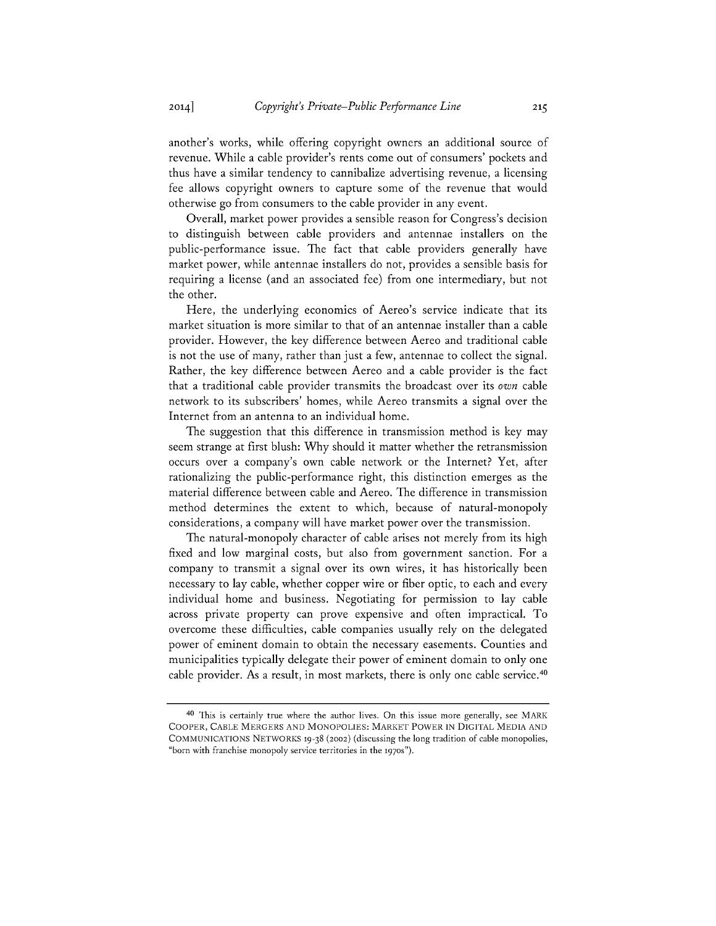another's works, while offering copyright owners an additional source of revenue. While a cable provider's rents come out of consumers' pockets and thus have a similar tendency to cannibalize advertising revenue, a licensing fee allows copyright owners to capture some of the revenue that would otherwise go from consumers to the cable provider in any event.

Overall, market power provides a sensible reason for Congress's decision to distinguish between cable providers and antennae installers on the public-performance issue. The fact that cable providers generally have market power, while antennae installers do not, provides a sensible basis for requiring a license (and an associated fee) from one intermediary, but not the other.

Here, the underlying economics of Aereo's service indicate that its market situation is more similar to that of an antennae installer than a cable provider. However, the key difference between Aereo and traditional cable is not the use of many, rather than just a few, antennae to collect the signal. Rather, the key difference between Aereo and a cable provider is the fact that a traditional cable provider transmits the broadcast over its *own* cable network to its subscribers' homes, while Aereo transmits a signal over the Internet from an antenna to an individual home.

The suggestion that this difference in transmission method is key may seem strange at first blush: **Why** should it matter whether the retransmission occurs over a company's own cable network or the Internet? Yet, after rationalizing the public-performance right, this distinction emerges as the material difference between cable and Aereo. The difference in transmission method determines the extent to which, because of natural-monopoly considerations, a company will have market power over the transmission.

The natural-monopoly character of cable arises not merely from its high fixed and low marginal costs, but also from government sanction. For a company to transmit a signal over its own wires, it has historically been necessary to lay cable, whether copper wire or fiber optic, to each and every individual home and business. Negotiating for permission to lay cable across private property can prove expensive and often impractical. To overcome these difficulties, cable companies usually rely on the delegated power of eminent domain to obtain the necessary easements. Counties and municipalities typically delegate their power of eminent domain to only one cable provider. As a result, in most markets, there is only one cable service. <sup>40</sup>

**<sup>40</sup> This is certainly true where the author lives. On this issue more generally, see** MARK COOPER, **CABLE** MERGERS **AND MONOPOLIES:** MARKET POWER **IN DIGITAL MEDIA AND COMMUNICATIONS** NETWORKS **19-38** (2002) **(discussing the long tradition of cable monopolies, "born with franchise monopoly service territories in the 1970s").**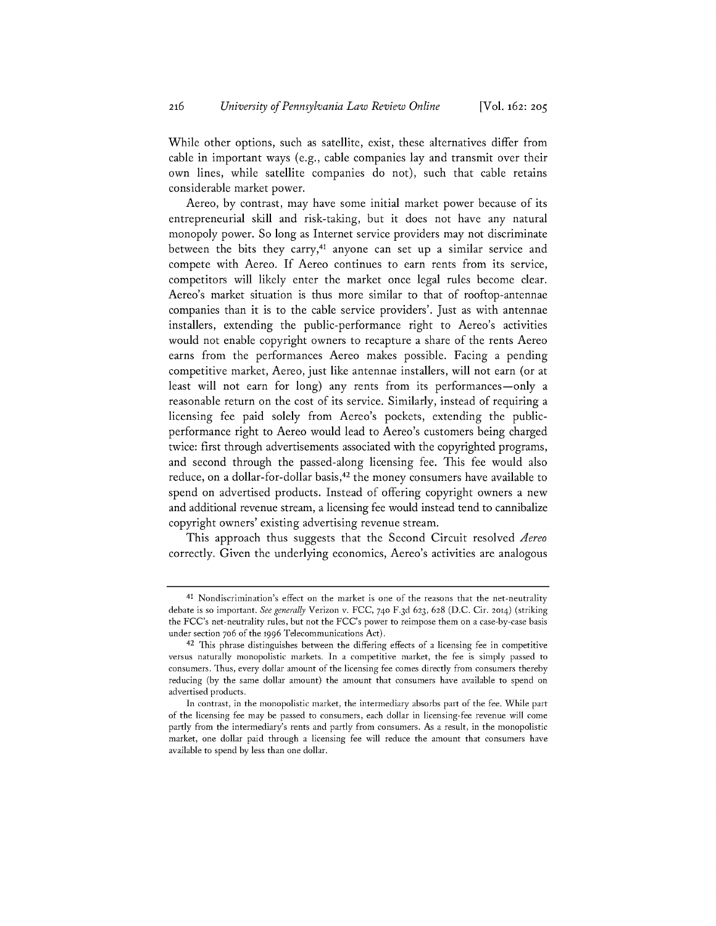While other options, such as satellite, exist, these alternatives differ from cable in important ways (e.g., cable companies lay and transmit over their own lines, while satellite companies do not), such that cable retains considerable market power.

Aereo, **by** contrast, may have some initial market power because of its entrepreneurial skill and risk-taking, but it does not have any natural monopoly power. So long as Internet service providers may not discriminate between the bits they carry,<sup>41</sup> anyone can set up a similar service and compete with Aereo. **If** Aereo continues to earn rents from its service, competitors will likely enter the market once legal rules become clear. Aereo's market situation is thus more similar to that of rooftop-antennae companies than it is to the cable service providers'. Just as with antennae installers, extending the public-performance right to Aereo's activities would not enable copyright owners to recapture a share of the rents Aereo earns from the performances Aereo makes possible. Facing a pending competitive market, Aereo, just like antennae installers, will not earn (or at least will not earn for long) any rents from its performances-only a reasonable return on the cost of its service. Similarly, instead of requiring a licensing fee paid solely from Aereo's pockets, extending the publicperformance right to Aereo would lead to Aereo's customers being charged twice: first through advertisements associated with the copyrighted programs, and second through the passed-along licensing fee. This fee would also reduce, on a dollar-for-dollar basis, 42 the money consumers have available to spend on advertised products. Instead of offering copyright owners a new and additional revenue stream, a licensing fee would instead tend to cannibalize copyright owners' existing advertising revenue stream.

This approach thus suggests that the Second Circuit resolved *Aereo* correctly. Given the underlying economics, Aereo's activities are analogous

**<sup>41</sup>**Nondiscrimination's effect on the market is one of the reasons that the net-neutrality debate is so important. *See generally* Verizon v. **FCC, 74o F.3 d 623, 628 (D.C.** Cir. **2014)** (striking the FCC's net-neutrality rules, but not the FCC's power to reimpose them on a case-by-case basis under section 706 of the **1996** Telecommunications Act).

**<sup>42</sup>**This phrase distinguishes between the differing effects of a licensing fee in competitive versus naturally monopolistic markets. In a competitive market, the fee is simply passed to consumers. Thus, every dollar amount of the licensing fee comes directly from consumers thereby reducing **(by** the same dollar amount) the amount that consumers have available to spend on advertised products.

In contrast, in the monopolistic market, the intermediary absorbs part of the fee. While part of the licensing fee may be passed to consumers, each dollar in licensing-fee revenue will come partly from the intermediary's rents and partly from consumers. As a result, in the monopolistic market, one dollar paid through a licensing fee will reduce the amount that consumers have available to spend **by** less than one dollar.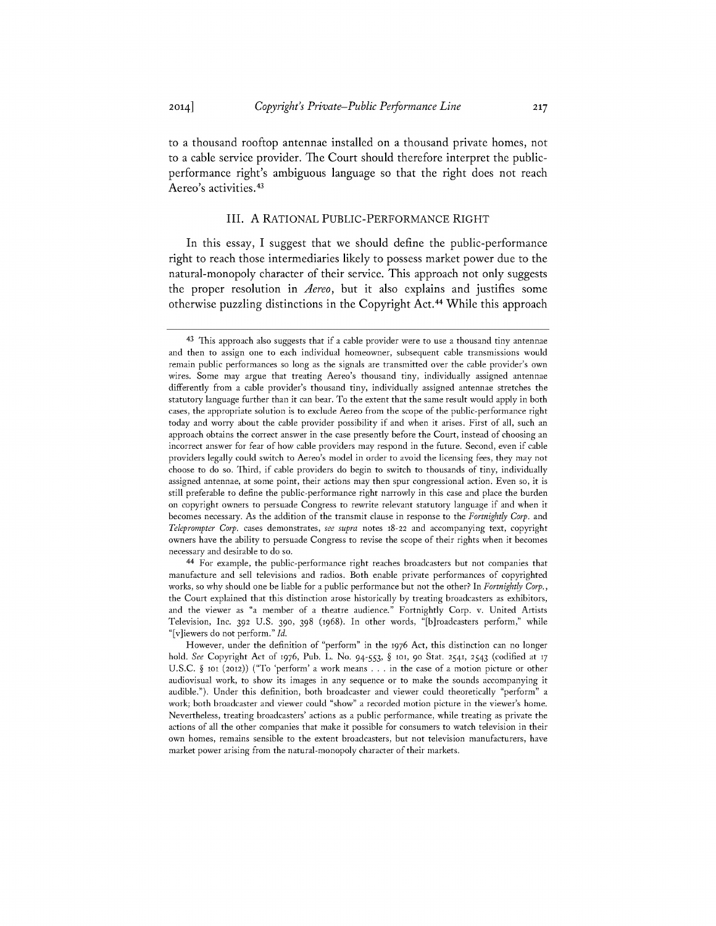to a thousand rooftop antennae installed on a thousand private homes, not to a cable service provider. The Court should therefore interpret the publicperformance right's ambiguous language so that the right does not reach

#### III. **A** RATIONAL PUBLIC-PERFORMANCE RIGHT

In this essay, **I** suggest that we should define the public-performance right to reach those intermediaries likely to possess market power due to the natural-monopoly character of their service. This approach not only suggests the proper resolution in *Aereo,* but it also explains and justifies some otherwise puzzling distinctions in the Copyright Act.44 While this approach

<sup>44</sup>For example, the public-performance right reaches broadcasters but not companies that manufacture and sell televisions and radios. Both enable private performances of copyrighted works, so why should one be liable for a public performance but not the other? In *Fortnightly Corp.,* the Court explained that this distinction arose historically **by** treating broadcasters as exhibitors, and the viewer as "a member of a theatre audience." Fortnightly Corp. v. United Artists Television, Inc. **392** U.S. **390, 398 (1968).** In other words, "[b]roadcasters perform," while "[v]iewers do not perform." *Id.*

Aereo's activities.<sup>43</sup>

<sup>43</sup> This approach also suggests that if a cable provider were to use a thousand tiny antennae and then to assign one to each individual homeowner, subsequent cable transmissions would remain public performances so long as the signals are transmitted over the cable provider's own wires. Some may argue that treating Aereo's thousand tiny, individually assigned antennae differently from a cable provider's thousand tiny, individually assigned antennae stretches the statutory language further than it can bear. To the extent that the same result would apply in both cases, the appropriate solution is to exclude Aereo from the scope of the public-performance right today and worry about the cable provider possibility if and when it arises. First of all, such an approach obtains the correct answer in the case presently before the Court, instead of choosing an incorrect answer for fear of how cable providers may respond in the future. Second, even if cable providers legally could switch to Aereo's model in order to avoid the licensing fees, they may not choose to do so. Third, if cable providers do begin to switch to thousands of tiny, individually assigned antennae, at some point, their actions may then spur congressional action. Even so, it is still preferable to define the public-performance right narrowly in this case and place the burden on copyright owners to persuade Congress to rewrite relevant statutory language if and when it becomes necessary. As the addition of the transmit clause in response to the *Fortnightly Corp.* and *Teleprompter Corp.* cases demonstrates, *see supra* notes **t8-22** and accompanying text, copyright owners have the ability to persuade Congress to revise the scope of their rights when it becomes necessary and desirable to do so.

However, under the definition of "perform" in the **1976** Act, this distinction can no longer hold. *See* Copyright Act **of 1976,** Pub. L. No. *94-553, §* tot, 90 Stat. 2541, 2543 (codified at **17 U.S.C.** *§* **101** (2012)) ("To 'perform' a work means **. . .** in the case of a motion picture or other audiovisual work, to show its images in any sequence or to make the sounds accompanying it audible."). Under this definition, both broadcaster and viewer could theoretically "perform" a work; both broadcaster and viewer could "show" a recorded motion picture in the viewer's home. Nevertheless, treating broadcasters' actions as a public performance, while treating as private the actions of all the other companies that make it possible for consumers to watch television in their own homes, remains sensible to the extent broadcasters, but not television manufacturers, have market power arising from the natural-monopoly character of their markets.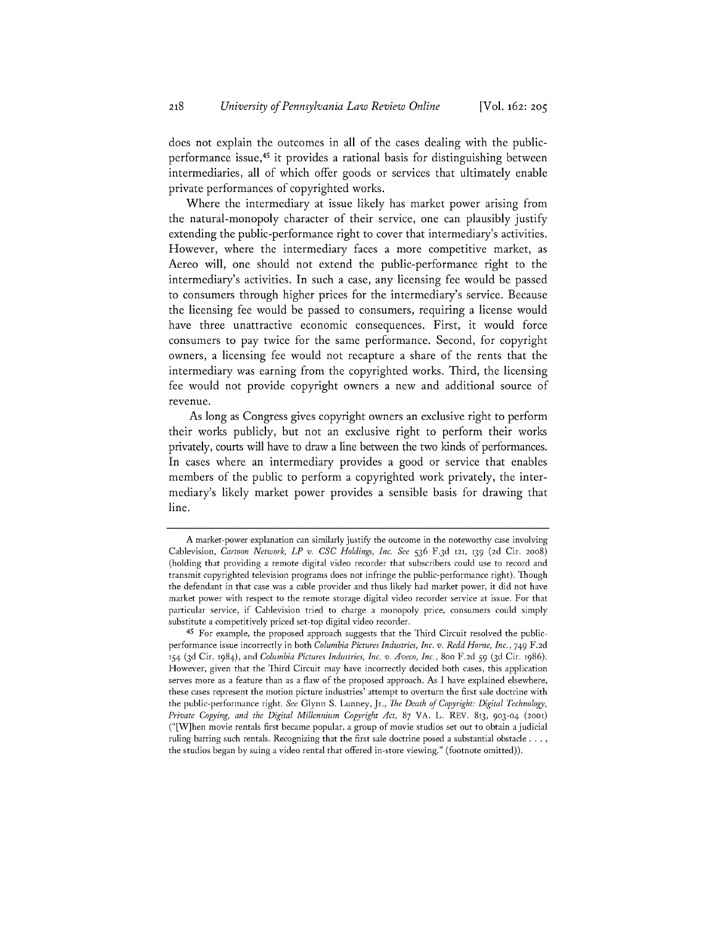does not explain the outcomes in all of the cases dealing with the publicperformance issue,45 it provides a rational basis for distinguishing between intermediaries, all of which offer goods or services that ultimately enable private performances of copyrighted works.

Where the intermediary at issue likely has market power arising from the natural-monopoly character of their service, one can plausibly justify extending the public-performance right to cover that intermediary's activities. However, where the intermediary faces a more competitive market, as Aereo will, one should not extend the public-performance right to the intermediary's activities. In such a case, any licensing fee would be passed to consumers through higher prices for the intermediary's service. Because the licensing fee would be passed to consumers, requiring a license would have three unattractive economic consequences. First, it would force consumers to pay twice for the same performance. Second, for copyright owners, a licensing fee would not recapture a share of the rents that the intermediary was earning from the copyrighted works. Third, the licensing fee would not provide copyright owners a new and additional source of revenue.

As long as Congress gives copyright owners an exclusive right to perform their works publicly, but not an exclusive right to perform their works privately, courts will have to draw a line between the two kinds of performances. In cases where an intermediary provides a good or service that enables members of the public to perform a copyrighted work privately, the intermediary's likely market power provides a sensible basis for drawing that line.

**A** market-power explanation can similarly justify the outcome in the noteworthy case involving Cablevision, *Cartoon Network, LP v. CSC Holdings, Inc. See 536* **F.3d 121, 139 (2d** Cir. **2008)** (holding that providing a remote digital video recorder that subscribers could use to record and transmit copyrighted television programs does not infringe the public-performance right). Though the defendant in that case was a cable provider and thus likely had market power, it did not have market power with respect to the remote storage digital video recorder service at issue. For that particular service, if Cablevision tried to charge a monopoly price, consumers could simply substitute a competitively priced set-top digital video recorder.

<sup>45</sup> For example, the proposed approach suggests that the Third Circuit resolved the publicperformance issue incorrectly in both *Columbia Pictures Industries, Inc. v. Redd Horne, Inc., 749* **F.2d 154 (3d** Cir. 1984), and *Columbia Pictures Industries, Inc. v. Aveco, Inc.,* 8oo **F.2d 59 (3d** Cir. **1986).** However, given that the Third Circuit may have incorrectly decided both cases, this application serves more as a feature than as a flaw of the proposed approach. As **I** have explained elsewhere, these cases represent the motion picture industries' attempt to overturn the first sale doctrine with the public-performance right. *See* Glynn **S.** Lunney, Jr., *The Death of Copyright: Digital Technology, Private Copying, and the Digital Millennium Copyright Act,* **87** VA. L. REV. **813, 903-04 (2001)** ("[W]hen movie rentals first became popular, a group of movie studios set out to obtain a judicial ruling barring such rentals. Recognizing that the first sale doctrine posed a substantial obstacle **. ..** the studios began **by** suing a video rental that offered in-store viewing." (footnote omitted)).